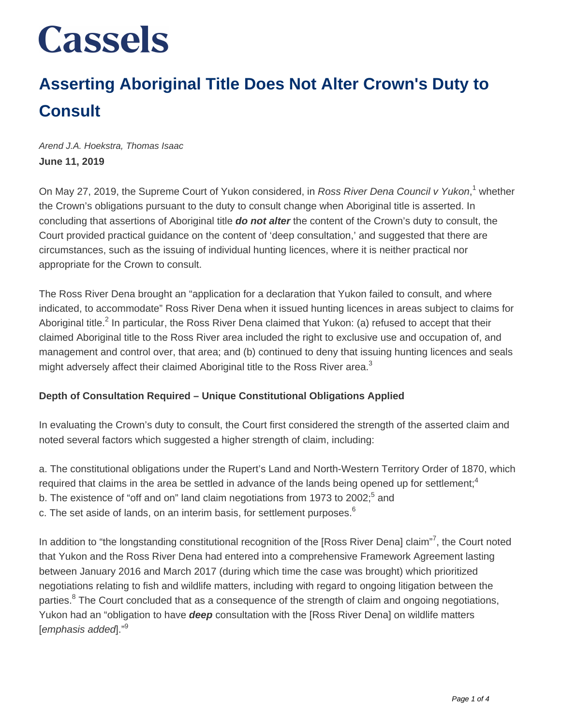### **Asserting Aboriginal Title Does Not Alter Crown's Duty to Consult**

Arend J.A. Hoekstra, Thomas Isaac **June 11, 2019**

On May 27, 2019, the Supreme Court of Yukon considered, in Ross River Dena Council v Yukon,<sup>1</sup> whether the Crown's obligations pursuant to the duty to consult change when Aboriginal title is asserted. In concluding that assertions of Aboriginal title **do not alter** the content of the Crown's duty to consult, the Court provided practical guidance on the content of 'deep consultation,' and suggested that there are circumstances, such as the issuing of individual hunting licences, where it is neither practical nor appropriate for the Crown to consult.

The Ross River Dena brought an "application for a declaration that Yukon failed to consult, and where indicated, to accommodate" Ross River Dena when it issued hunting licences in areas subject to claims for Aboriginal title.<sup>2</sup> In particular, the Ross River Dena claimed that Yukon: (a) refused to accept that their claimed Aboriginal title to the Ross River area included the right to exclusive use and occupation of, and management and control over, that area; and (b) continued to deny that issuing hunting licences and seals might adversely affect their claimed Aboriginal title to the Ross River area.<sup>3</sup>

#### **Depth of Consultation Required – Unique Constitutional Obligations Applied**

In evaluating the Crown's duty to consult, the Court first considered the strength of the asserted claim and noted several factors which suggested a higher strength of claim, including:

a. The constitutional obligations under the Rupert's Land and North-Western Territory Order of 1870, which required that claims in the area be settled in advance of the lands being opened up for settlement;<sup>4</sup>

- b. The existence of "off and on" land claim negotiations from 1973 to 2002;<sup>5</sup> and
- c. The set aside of lands, on an interim basis, for settlement purposes. $6$

In addition to "the longstanding constitutional recognition of the [Ross River Dena] claim"<sup>7</sup>, the Court noted that Yukon and the Ross River Dena had entered into a comprehensive Framework Agreement lasting between January 2016 and March 2017 (during which time the case was brought) which prioritized negotiations relating to fish and wildlife matters, including with regard to ongoing litigation between the parties.<sup>8</sup> The Court concluded that as a consequence of the strength of claim and ongoing negotiations, Yukon had an "obligation to have **deep** consultation with the [Ross River Dena] on wildlife matters [emphasis added]."<sup>9</sup>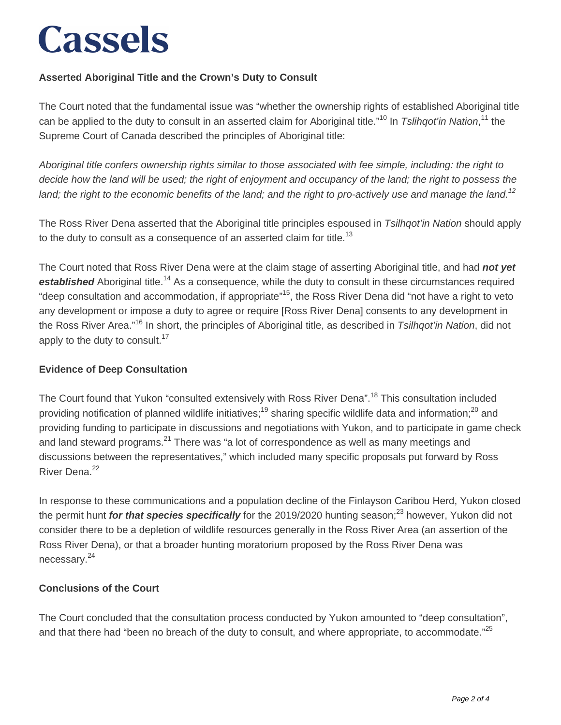### **Asserted Aboriginal Title and the Crown's Duty to Consult**

The Court noted that the fundamental issue was "whether the ownership rights of established Aboriginal title can be applied to the duty to consult in an asserted claim for Aboriginal title."<sup>10</sup> In Tslihqot'in Nation,<sup>11</sup> the Supreme Court of Canada described the principles of Aboriginal title:

Aboriginal title confers ownership rights similar to those associated with fee simple, including: the right to decide how the land will be used; the right of enjoyment and occupancy of the land; the right to possess the land; the right to the economic benefits of the land; and the right to pro-actively use and manage the land.<sup>12</sup>

The Ross River Dena asserted that the Aboriginal title principles espoused in Tsilhqot'in Nation should apply to the duty to consult as a consequence of an asserted claim for title.<sup>13</sup>

The Court noted that Ross River Dena were at the claim stage of asserting Aboriginal title, and had **not yet established** Aboriginal title.<sup>14</sup> As a consequence, while the duty to consult in these circumstances required "deep consultation and accommodation, if appropriate"<sup>15</sup>, the Ross River Dena did "not have a right to veto any development or impose a duty to agree or require [Ross River Dena] consents to any development in the Ross River Area."<sup>16</sup> In short, the principles of Aboriginal title, as described in *Tsilhgot'in Nation*, did not apply to the duty to consult. $17$ 

#### **Evidence of Deep Consultation**

The Court found that Yukon "consulted extensively with Ross River Dena".<sup>18</sup> This consultation included providing notification of planned wildlife initiatives;<sup>19</sup> sharing specific wildlife data and information;<sup>20</sup> and providing funding to participate in discussions and negotiations with Yukon, and to participate in game check and land steward programs. $^{21}$  There was "a lot of correspondence as well as many meetings and discussions between the representatives," which included many specific proposals put forward by Ross River Dena.<sup>22</sup>

In response to these communications and a population decline of the Finlayson Caribou Herd, Yukon closed the permit hunt *for that species specifically* for the 2019/2020 hunting season;<sup>23</sup> however, Yukon did not consider there to be a depletion of wildlife resources generally in the Ross River Area (an assertion of the Ross River Dena), or that a broader hunting moratorium proposed by the Ross River Dena was necessary.<sup>24</sup>

#### **Conclusions of the Court**

The Court concluded that the consultation process conducted by Yukon amounted to "deep consultation", and that there had "been no breach of the duty to consult, and where appropriate, to accommodate."<sup>25</sup>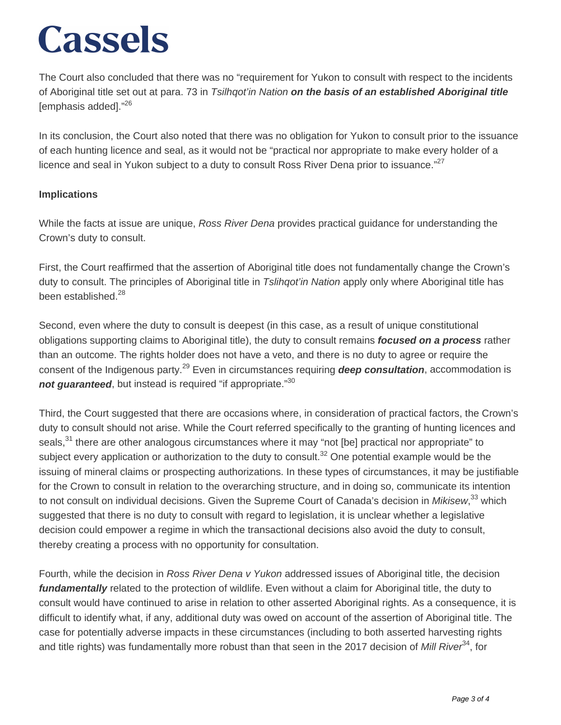The Court also concluded that there was no "requirement for Yukon to consult with respect to the incidents of Aboriginal title set out at para. 73 in Tsilhqot'in Nation **on the basis of an established Aboriginal title** [emphasis added]."<sup>26</sup>

In its conclusion, the Court also noted that there was no obligation for Yukon to consult prior to the issuance of each hunting licence and seal, as it would not be "practical nor appropriate to make every holder of a licence and seal in Yukon subject to a duty to consult Ross River Dena prior to issuance." $27$ 

#### **Implications**

While the facts at issue are unique, Ross River Dena provides practical guidance for understanding the Crown's duty to consult.

First, the Court reaffirmed that the assertion of Aboriginal title does not fundamentally change the Crown's duty to consult. The principles of Aboriginal title in Tslihgot'in Nation apply only where Aboriginal title has been established.<sup>28</sup>

Second, even where the duty to consult is deepest (in this case, as a result of unique constitutional obligations supporting claims to Aboriginal title), the duty to consult remains **focused on a process** rather than an outcome. The rights holder does not have a veto, and there is no duty to agree or require the consent of the Indigenous party.<sup>29</sup> Even in circumstances requiring **deep consultation**, accommodation is **not quaranteed**, but instead is required "if appropriate."<sup>30</sup>

Third, the Court suggested that there are occasions where, in consideration of practical factors, the Crown's duty to consult should not arise. While the Court referred specifically to the granting of hunting licences and seals,<sup>31</sup> there are other analogous circumstances where it may "not [be] practical nor appropriate" to subject every application or authorization to the duty to consult.<sup>32</sup> One potential example would be the issuing of mineral claims or prospecting authorizations. In these types of circumstances, it may be justifiable for the Crown to consult in relation to the overarching structure, and in doing so, communicate its intention to not consult on individual decisions. Given the Supreme Court of Canada's decision in Mikisew,<sup>33</sup> which suggested that there is no duty to consult with regard to legislation, it is unclear whether a legislative decision could empower a regime in which the transactional decisions also avoid the duty to consult, thereby creating a process with no opportunity for consultation.

Fourth, while the decision in Ross River Dena v Yukon addressed issues of Aboriginal title, the decision fundamentally related to the protection of wildlife. Even without a claim for Aboriginal title, the duty to consult would have continued to arise in relation to other asserted Aboriginal rights. As a consequence, it is difficult to identify what, if any, additional duty was owed on account of the assertion of Aboriginal title. The case for potentially adverse impacts in these circumstances (including to both asserted harvesting rights and title rights) was fundamentally more robust than that seen in the 2017 decision of Mill River<sup>34</sup>, for